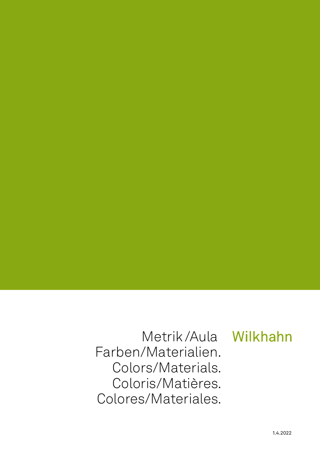Metrik/Aula Wilkhahn Farben/Materialien. Colors/Materials. Coloris/Matières. Colores/Materiales.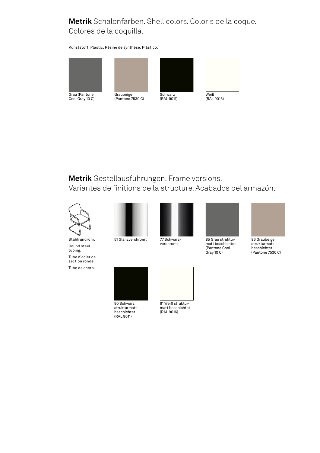### **Metrik** Schalenfarben. Shell colors. Coloris de la coque. Colores de la coquilla.

Kunststoff. Plastic. Résine de synthèse. Plástico.



Grau (Pantone Cool Gray 10 C)





(RAL 9011)



# **Metrik** Gestellausführungen. Frame versions.

Variantes de finitions de la structure. Acabados del armazón.



Stahlrundrohr. Round steel tubing. Tube d'acier de section ronde.

Tubo de acero.





verchromt



matt beschichtet (Pantone Cool Gray 10 C)



strukturmatt beschichtet (Pantone 7530 C)



90 Schwarz strukturmatt beschichtet (RAL 9011)

91 Weiß strukturmatt beschichtet (RAL 9016)

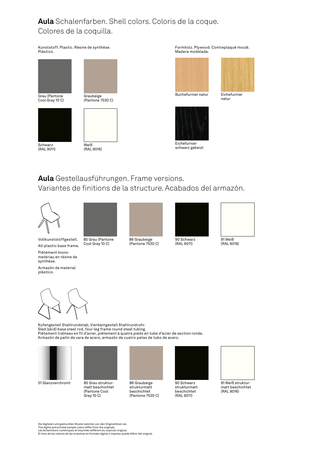## **Aula** Schalenfarben. Shell colors. Coloris de la coque. Colores de la coquilla.

Kunststoff. Plastic. Résine de synthèse. Plástico.



(RAL 9011)

(RAL 9016)

Formholz. Plywood. Contreplaqué moulé. Madera modelada.





natur

Buchefurnier natur Eichefurnier



schwarz gebeizt

# **Aula** Gestellausführungen. Frame versions.

Variantes de finitions de la structure. Acabados del armazón.





Vollkunststoffgestell. All-plastic base frame.

85 Grau (Pantone Cool Gray 10 C)



86 Graubeige (Pantone 7530 C)



(RAL 9011)



(RAL 9016)

Piétément monomatériau en résine de synthèse.

Armazón de material plástico.

Kufengestell Stahlrundstab, Vierbeingestell Stahlrundrohr. Sled (skid) base steel rod, four-leg frame round steel tubing. Piétement traîneau en fil d'acier, piétement à quatre pieds en tube d'acier de section ronde. Armazón de patín de vara de acero, armazón de cuatro patas de tubo de acero.



85 Grau strukturmatt beschichtet (Pantone Cool 51 Glanzverchromt 85 Grau struktur- 86 Graubeige 190 Schwarz 91 Weiß struktur-



86 Graubeige strukturmatt beschichtet (Pantone 7530 C)



90 Schwarz strukturmatt beschichtet (RAL 9011)



matt beschichtet (RAL 9016)

Die digitalen und gedruckten Muster weichen von den Originaltönen ab.<br>The digital and printed sample colors differ from the originals.<br>Les échantillons numériques et imprimés diffèrent du nuancier original.<br>El tono de los

Gray 10 C)